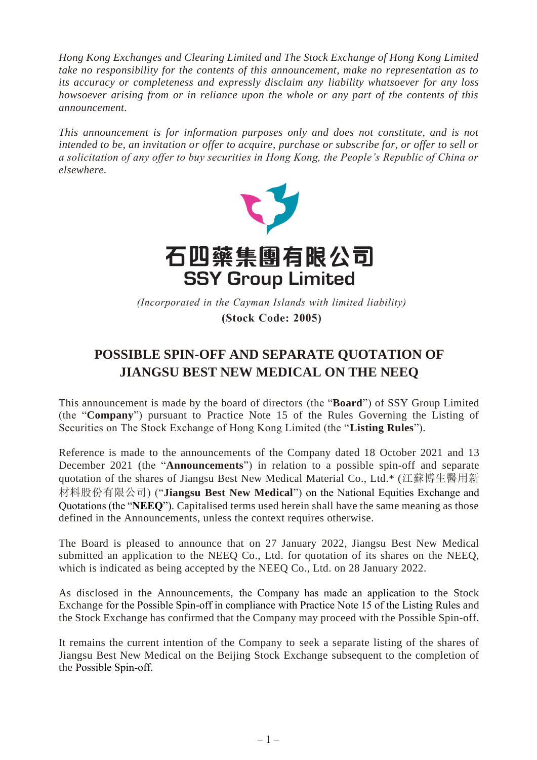*Hong Kong Exchanges and Clearing Limited and The Stock Exchange of Hong Kong Limited take no responsibility for the contents of this announcement, make no representation as to its accuracy or completeness and expressly disclaim any liability whatsoever for any loss howsoever arising from or in reliance upon the whole or any part of the contents of this announcement.*

*This announcement is for information purposes only and does not constitute, and is not intended to be, an invitation or offer to acquire, purchase or subscribe for, or offer to sell or a solicitation of any offer to buy securities in Hong Kong, the People's Republic of China or elsewhere.*



(Incorporated in the Cayman Islands with limited liability) (Stock Code: 2005)

## **POSSIBLE SPIN-OFF AND SEPARATE QUOTATION OF JIANGSU BEST NEW MEDICAL ON THE NEEQ**

This announcement is made by the board of directors (the "**Board**") of SSY Group Limited (the "**Company**") pursuant to Practice Note 15 of the Rules Governing the Listing of Securities on The Stock Exchange of Hong Kong Limited (the "**Listing Rules**").

Reference is made to the announcements of the Company dated 18 October 2021 and 13 December 2021 (the "**Announcements**") in relation to a possible spin-off and separate quotation of the shares of Jiangsu Best New Medical Material Co., Ltd.\* (江蘇博生醫用新 材料股份有限公司) ("**Jiangsu Best New Medical**") on the National Equities Exchange and Quotations (the "**NEEQ**"). Capitalised terms used herein shall have the same meaning as those defined in the Announcements, unless the context requires otherwise.

The Board is pleased to announce that on 27 January 2022, Jiangsu Best New Medical submitted an application to the NEEQ Co., Ltd. for quotation of its shares on the NEEQ, which is indicated as being accepted by the NEEQ Co., Ltd. on 28 January 2022.

As disclosed in the Announcements, the Company has made an application to the Stock Exchange for the Possible Spin-off in compliance with Practice Note 15 of the Listing Rules and the Stock Exchange has confirmed that the Company may proceed with the Possible Spin-off.

It remains the current intention of the Company to seek a separate listing of the shares of Jiangsu Best New Medical on the Beijing Stock Exchange subsequent to the completion of the Possible Spin-off.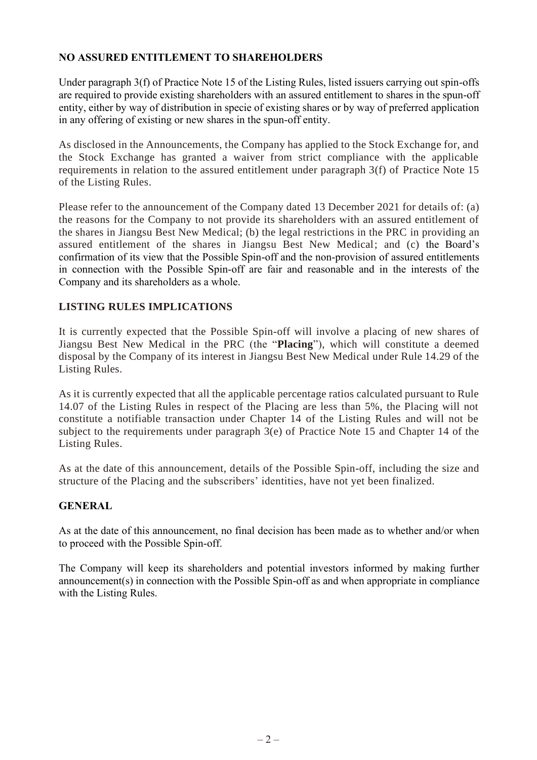## **NO ASSURED ENTITLEMENT TO SHAREHOLDERS**

Under paragraph 3(f) of Practice Note 15 of the Listing Rules, listed issuers carrying out spin-offs are required to provide existing shareholders with an assured entitlement to shares in the spun-off entity, either by way of distribution in specie of existing shares or by way of preferred application in any offering of existing or new shares in the spun-off entity.

As disclosed in the Announcements, the Company has applied to the Stock Exchange for, and the Stock Exchange has granted a waiver from strict compliance with the applicable requirements in relation to the assured entitlement under paragraph 3(f) of Practice Note 15 of the Listing Rules.

Please refer to the announcement of the Company dated 13 December 2021 for details of: (a) the reasons for the Company to not provide its shareholders with an assured entitlement of the shares in Jiangsu Best New Medical; (b) the legal restrictions in the PRC in providing an assured entitlement of the shares in Jiangsu Best New Medical; and (c) the Board's confirmation of its view that the Possible Spin-off and the non-provision of assured entitlements in connection with the Possible Spin-off are fair and reasonable and in the interests of the Company and its shareholders as a whole.

## **LISTING RULES IMPLICATIONS**

It is currently expected that the Possible Spin-off will involve a placing of new shares of Jiangsu Best New Medical in the PRC (the "**Placing**"), which will constitute a deemed disposal by the Company of its interest in Jiangsu Best New Medical under Rule 14.29 of the Listing Rules.

As it is currently expected that all the applicable percentage ratios calculated pursuant to Rule 14.07 of the Listing Rules in respect of the Placing are less than 5%, the Placing will not constitute a notifiable transaction under Chapter 14 of the Listing Rules and will not be subject to the requirements under paragraph 3(e) of Practice Note 15 and Chapter 14 of the Listing Rules.

As at the date of this announcement, details of the Possible Spin-off, including the size and structure of the Placing and the subscribers' identities, have not yet been finalized.

## **GENERAL**

As at the date of this announcement, no final decision has been made as to whether and/or when to proceed with the Possible Spin-off.

The Company will keep its shareholders and potential investors informed by making further announcement(s) in connection with the Possible Spin-off as and when appropriate in compliance with the Listing Rules.